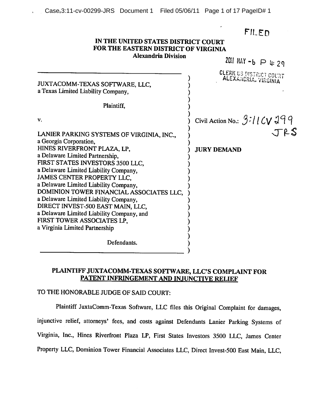FILED

#### IN THE UNITED STATES DISTRICT COURT FOR THE EASTERN DISTRICT OF VIRGINIA **Alexandria Division**

2011 MAY  $-6$   $\supset$  4: 29 **CLERK US DISTRICT COURT** ALEXANDRIA, VIRGINIA JUXTACOMM-TEXAS SOFTWARE, LLC. a Texas Limited Liability Company, Plaintiff. Civil Action No.: 3:11CV 299 V. JRS LANIER PARKING SYSTEMS OF VIRGINIA, INC., a Georgia Corporation. HINES RIVERFRONT PLAZA, LP, **JURY DEMAND** a Delaware Limited Partnership. FIRST STATES INVESTORS 3500 LLC, a Delaware Limited Liability Company, JAMES CENTER PROPERTY LLC. a Delaware Limited Liability Company. DOMINION TOWER FINANCIAL ASSOCIATES LLC, a Delaware Limited Liability Company, DIRECT INVEST-500 EAST MAIN, LLC, a Delaware Limited Liability Company, and FIRST TOWER ASSOCIATES LP. a Virginia Limited Partnership Defendants.

# PLAINTIFF JUXTACOMM-TEXAS SOFTWARE, LLC'S COMPLAINT FOR PATENT INFRINGEMENT AND INJUNCTIVE RELIEF

# TO THE HONORABLE JUDGE OF SAID COURT:

Plaintiff JuxtaComm-Texas Software, LLC files this Original Complaint for damages, injunctive relief, attorneys' fees, and costs against Defendants Lanier Parking Systems of Virginia, Inc., Hines Riverfront Plaza LP, First States Investors 3500 LLC, James Center Property LLC, Dominion Tower Financial Associates LLC, Direct Invest-500 East Main, LLC,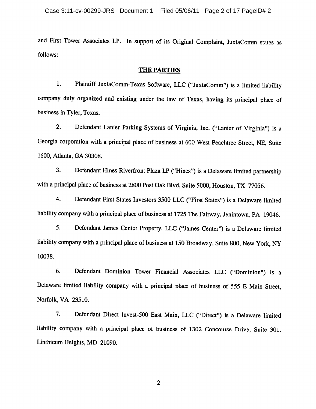and First Tower Associates LP. In support of its Original Complaint, JuxtaComm states as follows:

#### **THE PARTIES**

Plaintiff JuxtaComm-Texas Software, LLC ("JuxtaComm") is a limited liability 1. company duly organized and existing under the law of Texas, having its principal place of business in Tyler, Texas.

 $2.$ Defendant Lanier Parking Systems of Virginia, Inc. ("Lanier of Virginia") is a Georgia corporation with a principal place of business at 600 West Peachtree Street, NE, Suite 1600, Atlanta, GA 30308.

 $3.$ Defendant Hines Riverfront Plaza LP ("Hines") is a Delaware limited partnership with a principal place of business at 2800 Post Oak Blvd, Suite 5000, Houston, TX 77056.

4. Defendant First States Investors 3500 LLC ("First States") is a Delaware limited liability company with a principal place of business at 1725 The Fairway, Jenintown, PA 19046.

5. Defendant James Center Property, LLC ("James Center") is a Delaware limited liability company with a principal place of business at 150 Broadway, Suite 800, New York, NY 10038.

6. Defendant Dominion Tower Financial Associates LLC ("Dominion") is a Delaware limited liability company with a principal place of business of 555 E Main Street, Norfolk, VA 23510.

 $7.$ Defendant Direct Invest-500 East Main, LLC ("Direct") is a Delaware limited liability company with a principal place of business of 1302 Concourse Drive, Suite 301, Linthicum Heights, MD 21090.

 $\overline{2}$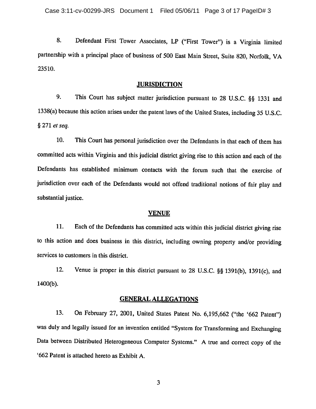Defendant First Tower Associates, LP ("First Tower") is a Virginia limited 8. partnership with a principal place of business of 500 East Main Street, Suite 820, Norfolk, VA 23510.

#### **JURISDICTION**

9. This Court has subject matter jurisdiction pursuant to 28 U.S.C. §§ 1331 and 1338(a) because this action arises under the patent laws of the United States, including 35 U.S.C. § 271 et seq.

10. This Court has personal jurisdiction over the Defendants in that each of them has committed acts within Virginia and this judicial district giving rise to this action and each of the Defendants has established minimum contacts with the forum such that the exercise of jurisdiction over each of the Defendants would not offend traditional notions of fair play and substantial justice.

#### **VENUE**

11. Each of the Defendants has committed acts within this judicial district giving rise to this action and does business in this district, including owning property and/or providing services to customers in this district.

12. Venue is proper in this district pursuant to 28 U.S.C. §§ 1391(b), 1391(c), and  $1400(b)$ .

#### **GENERAL ALLEGATIONS**

On February 27, 2001, United States Patent No. 6,195,662 ("the '662 Patent") 13. was duly and legally issued for an invention entitled "System for Transforming and Exchanging Data between Distributed Heterogeneous Computer Systems." A true and correct copy of the '662 Patent is attached hereto as Exhibit A.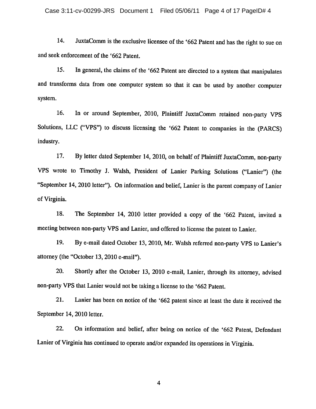14. JuxtaComm is the exclusive licensee of the '662 Patent and has the right to sue on and seek enforcement of the '662 Patent.

In general, the claims of the '662 Patent are directed to a system that manipulates 15. and transforms data from one computer system so that it can be used by another computer system.

16. In or around September, 2010, Plaintiff JuxtaComm retained non-party VPS Solutions, LLC ("VPS") to discuss licensing the '662 Patent to companies in the (PARCS) industry.

17. By letter dated September 14, 2010, on behalf of Plaintiff JuxtaComm, non-party VPS wrote to Timothy J. Walsh, President of Lanier Parking Solutions ("Lanier") (the "September 14, 2010 letter"). On information and belief, Lanier is the parent company of Lanier of Virginia.

18. The September 14, 2010 letter provided a copy of the '662 Patent, invited a meeting between non-party VPS and Lanier, and offered to license the patent to Lanier.

19. By e-mail dated October 13, 2010, Mr. Walsh referred non-party VPS to Lanier's attorney (the "October 13, 2010 e-mail").

20. Shortly after the October 13, 2010 e-mail, Lanier, through its attorney, advised non-party VPS that Lanier would not be taking a license to the '662 Patent.

21. Lanier has been on notice of the '662 patent since at least the date it received the September 14, 2010 letter.

22. On information and belief, after being on notice of the '662 Patent, Defendant Lanier of Virginia has continued to operate and/or expanded its operations in Virginia.

 $\overline{\mathbf{4}}$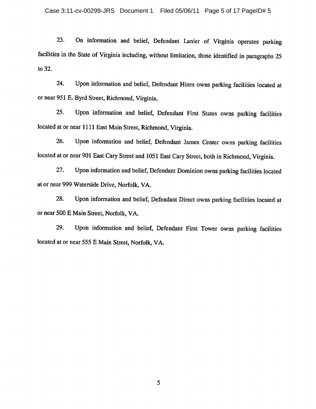On information and belief, Defendant Lanier of Virginia operates parking 23. facilities in the State of Virginia including, without limitation, those identified in paragraphs 25 to 32.

Upon information and belief, Defendant Hines owns parking facilities located at 24. or near 951 E. Byrd Street, Richmond, Virginia.

Upon information and belief, Defendant First States owns parking facilities 25. located at or near 1111 East Main Street, Richmond, Virginia.

26. Upon information and belief, Defendant James Center owns parking facilities located at or near 901 East Cary Street and 1051 East Cary Street, both in Richmond, Virginia.

27. Upon information and belief, Defendant Dominion owns parking facilities located at or near 999 Waterside Drive, Norfolk, VA.

28. Upon information and belief, Defendant Direct owns parking facilities located at or near 500 E Main Street, Norfolk, VA.

29. Upon information and belief, Defendant First Tower owns parking facilities located at or near 555 E Main Street, Norfolk, VA.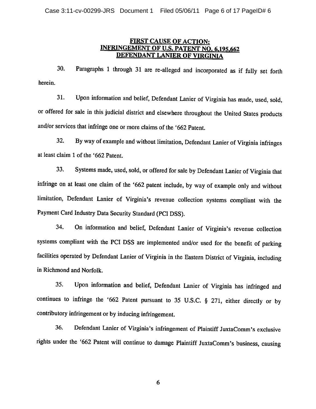## **FIRST CAUSE OF ACTION:** INFRINGEMENT OF U.S. PATENT NO. 6,195,662 DEFENDANT LANIER OF VIRGINIA

30. Paragraphs 1 through 31 are re-alleged and incorporated as if fully set forth herein.

31. Upon information and belief, Defendant Lanier of Virginia has made, used, sold, or offered for sale in this judicial district and elsewhere throughout the United States products and/or services that infringe one or more claims of the '662 Patent.

 $32.$ By way of example and without limitation, Defendant Lanier of Virginia infringes at least claim 1 of the '662 Patent.

33. Systems made, used, sold, or offered for sale by Defendant Lanier of Virginia that infringe on at least one claim of the '662 patent include, by way of example only and without limitation, Defendant Lanier of Virginia's revenue collection systems compliant with the Payment Card Industry Data Security Standard (PCI DSS).

34. On information and belief, Defendant Lanier of Virginia's revenue collection systems compliant with the PCI DSS are implemented and/or used for the benefit of parking facilities operated by Defendant Lanier of Virginia in the Eastern District of Virginia, including in Richmond and Norfolk.

35. Upon information and belief, Defendant Lanier of Virginia has infringed and continues to infringe the '662 Patent pursuant to 35 U.S.C. § 271, either directly or by contributory infringement or by inducing infringement.

Defendant Lanier of Virginia's infringement of Plaintiff JuxtaComm's exclusive 36. rights under the '662 Patent will continue to damage Plaintiff JuxtaComm's business, causing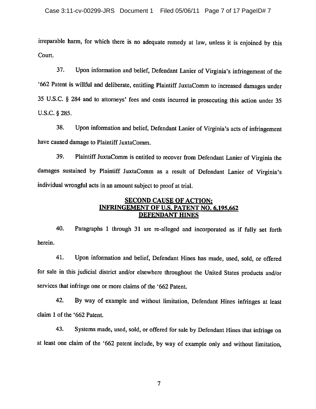irreparable harm, for which there is no adequate remedy at law, unless it is enjoined by this Court.

37. Upon information and belief, Defendant Lanier of Virginia's infringement of the '662 Patent is willful and deliberate, entitling Plaintiff JuxtaComm to increased damages under 35 U.S.C. § 284 and to attorneys' fees and costs incurred in prosecuting this action under 35 U.S.C. § 285.

38. Upon information and belief, Defendant Lanier of Virginia's acts of infringement have caused damage to Plaintiff JuxtaComm.

39. Plaintiff JuxtaComm is entitled to recover from Defendant Lanier of Virginia the damages sustained by Plaintiff JuxtaComm as a result of Defendant Lanier of Virginia's individual wrongful acts in an amount subject to proof at trial.

## **SECOND CAUSE OF ACTION: INFRINGEMENT OF U.S. PATENT NO. 6,195,662 DEFENDANT HINES**

Paragraphs 1 through 31 are re-alleged and incorporated as if fully set forth 40. herein.

41. Upon information and belief, Defendant Hines has made, used, sold, or offered for sale in this judicial district and/or elsewhere throughout the United States products and/or services that infringe one or more claims of the '662 Patent.

42. By way of example and without limitation, Defendant Hines infringes at least claim 1 of the '662 Patent.

Systems made, used, sold, or offered for sale by Defendant Hines that infringe on 43. at least one claim of the '662 patent include, by way of example only and without limitation,

 $\overline{7}$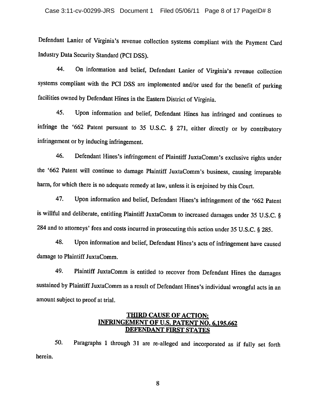Defendant Lanier of Virginia's revenue collection systems compliant with the Payment Card Industry Data Security Standard (PCI DSS).

On information and belief, Defendant Lanier of Virginia's revenue collection 44. systems compliant with the PCI DSS are implemented and/or used for the benefit of parking facilities owned by Defendant Hines in the Eastern District of Virginia.

45. Upon information and belief, Defendant Hines has infringed and continues to infringe the '662 Patent pursuant to 35 U.S.C. § 271, either directly or by contributory infringement or by inducing infringement.

Defendant Hines's infringement of Plaintiff JuxtaComm's exclusive rights under 46. the '662 Patent will continue to damage Plaintiff JuxtaComm's business, causing irreparable harm, for which there is no adequate remedy at law, unless it is enjoined by this Court.

Upon information and belief, Defendant Hines's infringement of the '662 Patent 47. is willful and deliberate, entitling Plaintiff JuxtaComm to increased damages under 35 U.S.C. § 284 and to attorneys' fees and costs incurred in prosecuting this action under 35 U.S.C. § 285.

48. Upon information and belief, Defendant Hines's acts of infringement have caused damage to Plaintiff JuxtaComm.

49. Plaintiff JuxtaComm is entitled to recover from Defendant Hines the damages sustained by Plaintiff JuxtaComm as a result of Defendant Hines's individual wrongful acts in an amount subject to proof at trial.

# THIRD CAUSE OF ACTION: INFRINGEMENT OF U.S. PATENT NO. 6,195,662 **DEFENDANT FIRST STATES**

Paragraphs 1 through 31 are re-alleged and incorporated as if fully set forth 50. herein.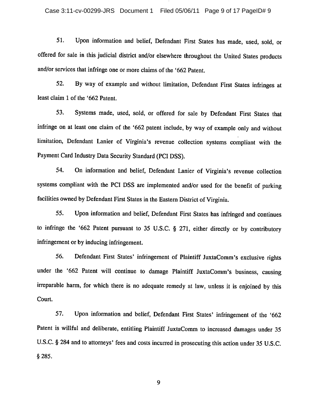51. Upon information and belief, Defendant First States has made, used, sold, or offered for sale in this judicial district and/or elsewhere throughout the United States products and/or services that infringe one or more claims of the '662 Patent.

52. By way of example and without limitation, Defendant First States infringes at least claim 1 of the '662 Patent.

Systems made, used, sold, or offered for sale by Defendant First States that 53. infringe on at least one claim of the '662 patent include, by way of example only and without limitation, Defendant Lanier of Virginia's revenue collection systems compliant with the Payment Card Industry Data Security Standard (PCI DSS).

54. On information and belief, Defendant Lanier of Virginia's revenue collection systems compliant with the PCI DSS are implemented and/or used for the benefit of parking facilities owned by Defendant First States in the Eastern District of Virginia.

55. Upon information and belief, Defendant First States has infringed and continues to infringe the '662 Patent pursuant to 35 U.S.C. § 271, either directly or by contributory infringement or by inducing infringement.

56. Defendant First States' infringement of Plaintiff JuxtaComm's exclusive rights under the '662 Patent will continue to damage Plaintiff JuxtaComm's business, causing irreparable harm, for which there is no adequate remedy at law, unless it is enjoined by this Court.

57. Upon information and belief, Defendant First States' infringement of the '662 Patent is willful and deliberate, entitling Plaintiff JuxtaComm to increased damages under 35 U.S.C. § 284 and to attorneys' fees and costs incurred in prosecuting this action under 35 U.S.C.  $$285.$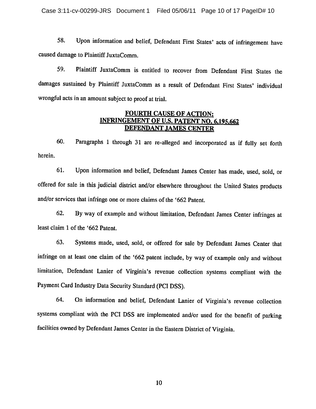Case 3:11-cv-00299-JRS Document 1 Filed 05/06/11 Page 10 of 17 PageID# 10

Upon information and belief, Defendant First States' acts of infringement have 58. caused damage to Plaintiff JuxtaComm.

Plaintiff JuxtaComm is entitled to recover from Defendant First States the 59. damages sustained by Plaintiff JuxtaComm as a result of Defendant First States' individual wrongful acts in an amount subject to proof at trial.

## **FOURTH CAUSE OF ACTION: INFRINGEMENT OF U.S. PATENT NO. 6,195,662 DEFENDANT JAMES CENTER**

60. Paragraphs 1 through 31 are re-alleged and incorporated as if fully set forth herein.

61. Upon information and belief, Defendant James Center has made, used, sold, or offered for sale in this judicial district and/or elsewhere throughout the United States products and/or services that infringe one or more claims of the '662 Patent.

62. By way of example and without limitation, Defendant James Center infringes at least claim 1 of the '662 Patent.

63. Systems made, used, sold, or offered for sale by Defendant James Center that infringe on at least one claim of the '662 patent include, by way of example only and without limitation, Defendant Lanier of Virginia's revenue collection systems compliant with the Payment Card Industry Data Security Standard (PCI DSS).

64. On information and belief, Defendant Lanier of Virginia's revenue collection systems compliant with the PCI DSS are implemented and/or used for the benefit of parking facilities owned by Defendant James Center in the Eastern District of Virginia.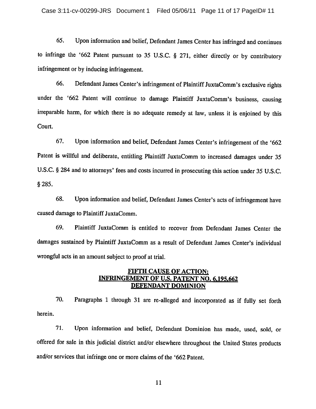65. Upon information and belief, Defendant James Center has infringed and continues to infringe the '662 Patent pursuant to 35 U.S.C. § 271, either directly or by contributory infringement or by inducing infringement.

66. Defendant James Center's infringement of Plaintiff JuxtaComm's exclusive rights under the '662 Patent will continue to damage Plaintiff JuxtaComm's business, causing irreparable harm, for which there is no adequate remedy at law, unless it is enjoined by this Court.

67. Upon information and belief, Defendant James Center's infringement of the '662 Patent is willful and deliberate, entitling Plaintiff JuxtaComm to increased damages under 35 U.S.C. § 284 and to attorneys' fees and costs incurred in prosecuting this action under 35 U.S.C.  $$285.$ 

68. Upon information and belief, Defendant James Center's acts of infringement have caused damage to Plaintiff JuxtaComm.

69. Plaintiff JuxtaComm is entitled to recover from Defendant James Center the damages sustained by Plaintiff JuxtaComm as a result of Defendant James Center's individual wrongful acts in an amount subject to proof at trial.

## **FIFTH CAUSE OF ACTION: INFRINGEMENT OF U.S. PATENT NO. 6,195,662** DEFENDANT DOMINION

70. Paragraphs 1 through 31 are re-alleged and incorporated as if fully set forth herein.

71. Upon information and belief, Defendant Dominion has made, used, sold, or offered for sale in this judicial district and/or elsewhere throughout the United States products and/or services that infringe one or more claims of the '662 Patent.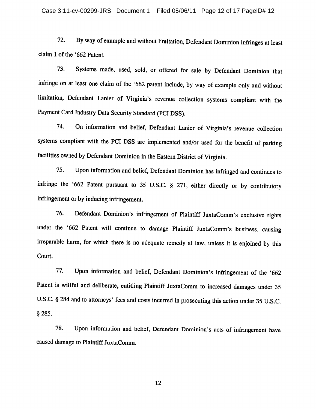72. By way of example and without limitation, Defendant Dominion infringes at least claim 1 of the '662 Patent.

Systems made, used, sold, or offered for sale by Defendant Dominion that 73. infringe on at least one claim of the '662 patent include, by way of example only and without limitation, Defendant Lanier of Virginia's revenue collection systems compliant with the Payment Card Industry Data Security Standard (PCI DSS).

On information and belief, Defendant Lanier of Virginia's revenue collection 74. systems compliant with the PCI DSS are implemented and/or used for the benefit of parking facilities owned by Defendant Dominion in the Eastern District of Virginia.

75. Upon information and belief, Defendant Dominion has infringed and continues to infringe the '662 Patent pursuant to 35 U.S.C. § 271, either directly or by contributory infringement or by inducing infringement.

Defendant Dominion's infringement of Plaintiff JuxtaComm's exclusive rights 76. under the '662 Patent will continue to damage Plaintiff JuxtaComm's business, causing irreparable harm, for which there is no adequate remedy at law, unless it is enjoined by this Court.

77. Upon information and belief, Defendant Dominion's infringement of the '662 Patent is willful and deliberate, entitling Plaintiff JuxtaComm to increased damages under 35 U.S.C. § 284 and to attorneys' fees and costs incurred in prosecuting this action under 35 U.S.C. \$285.

78. Upon information and belief, Defendant Dominion's acts of infringement have caused damage to Plaintiff JuxtaComm.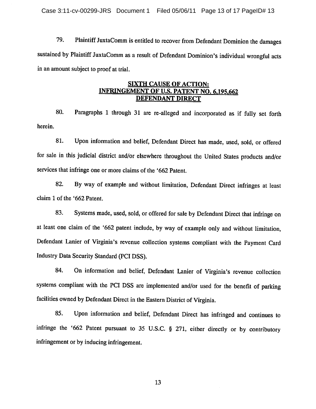79. Plaintiff JuxtaComm is entitled to recover from Defendant Dominion the damages sustained by Plaintiff JuxtaComm as a result of Defendant Dominion's individual wrongful acts in an amount subject to proof at trial.

### **SIXTH CAUSE OF ACTION: INFRINGEMENT OF U.S. PATENT NO. 6,195,662 DEFENDANT DIRECT**

Paragraphs 1 through 31 are re-alleged and incorporated as if fully set forth 80. herein.

81. Upon information and belief, Defendant Direct has made, used, sold, or offered for sale in this judicial district and/or elsewhere throughout the United States products and/or services that infringe one or more claims of the '662 Patent.

By way of example and without limitation, Defendant Direct infringes at least 82. claim 1 of the '662 Patent.

83. Systems made, used, sold, or offered for sale by Defendant Direct that infringe on at least one claim of the '662 patent include, by way of example only and without limitation, Defendant Lanier of Virginia's revenue collection systems compliant with the Payment Card Industry Data Security Standard (PCI DSS).

On information and belief, Defendant Lanier of Virginia's revenue collection 84. systems compliant with the PCI DSS are implemented and/or used for the benefit of parking facilities owned by Defendant Direct in the Eastern District of Virginia.

85. Upon information and belief, Defendant Direct has infringed and continues to infringe the '662 Patent pursuant to 35 U.S.C. § 271, either directly or by contributory infringement or by inducing infringement.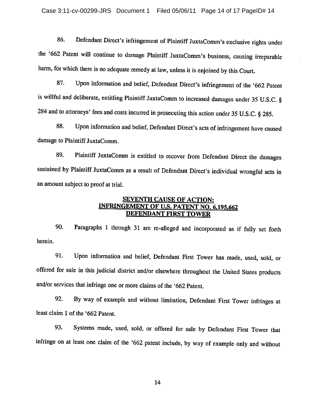86. Defendant Direct's infringement of Plaintiff JuxtaComm's exclusive rights under the '662 Patent will continue to damage Plaintiff JuxtaComm's business, causing irreparable harm, for which there is no adequate remedy at law, unless it is enjoined by this Court.

Upon information and belief, Defendant Direct's infringement of the '662 Patent 87. is willful and deliberate, entitling Plaintiff JuxtaComm to increased damages under 35 U.S.C. § 284 and to attorneys' fees and costs incurred in prosecuting this action under 35 U.S.C. § 285.

Upon information and belief, Defendant Direct's acts of infringement have caused 88. damage to Plaintiff JuxtaComm.

Plaintiff JuxtaComm is entitled to recover from Defendant Direct the damages 89. sustained by Plaintiff JuxtaComm as a result of Defendant Direct's individual wrongful acts in an amount subject to proof at trial.

## **SEVENTH CAUSE OF ACTION:** INFRINGEMENT OF U.S. PATENT NO. 6,195,662 **DEFENDANT FIRST TOWER**

90. Paragraphs 1 through 31 are re-alleged and incorporated as if fully set forth herein.

91. Upon information and belief, Defendant First Tower has made, used, sold, or offered for sale in this judicial district and/or elsewhere throughout the United States products and/or services that infringe one or more claims of the '662 Patent.

92. By way of example and without limitation, Defendant First Tower infringes at least claim 1 of the '662 Patent.

Systems made, used, sold, or offered for sale by Defendant First Tower that 93. infringe on at least one claim of the '662 patent include, by way of example only and without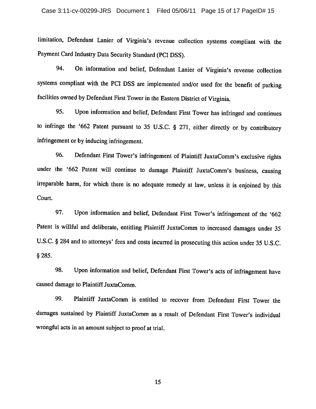limitation, Defendant Lanier of Virginia's revenue collection systems compliant with the Payment Card Industry Data Security Standard (PCI DSS).

On information and belief, Defendant Lanier of Virginia's revenue collection 94. systems compliant with the PCI DSS are implemented and/or used for the benefit of parking facilities owned by Defendant First Tower in the Eastern District of Virginia.

95. Upon information and belief, Defendant First Tower has infringed and continues to infringe the '662 Patent pursuant to 35 U.S.C. § 271, either directly or by contributory infringement or by inducing infringement.

96. Defendant First Tower's infringement of Plaintiff JuxtaComm's exclusive rights under the '662 Patent will continue to damage Plaintiff JuxtaComm's business, causing irreparable harm, for which there is no adequate remedy at law, unless it is enjoined by this Court.

97. Upon information and belief, Defendant First Tower's infringement of the '662 Patent is willful and deliberate, entitling Plaintiff JuxtaComm to increased damages under 35 U.S.C. § 284 and to attorneys' fees and costs incurred in prosecuting this action under 35 U.S.C.  $§ 285.$ 

98. Upon information and belief, Defendant First Tower's acts of infringement have caused damage to Plaintiff JuxtaComm.

99. Plaintiff JuxtaComm is entitled to recover from Defendant First Tower the damages sustained by Plaintiff JuxtaComm as a result of Defendant First Tower's individual wrongful acts in an amount subject to proof at trial.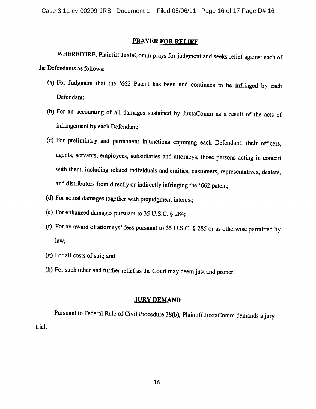#### **PRAYER FOR RELIEF**

WHEREFORE, Plaintiff JuxtaComm prays for judgment and seeks relief against each of the Defendants as follows:

- (a) For Judgment that the '662 Patent has been and continues to be infringed by each Defendant:
- (b) For an accounting of all damages sustained by JuxtaComm as a result of the acts of infringement by each Defendant;
- (c) For preliminary and permanent injunctions enjoining each Defendant, their officers, agents, servants, employees, subsidiaries and attorneys, those persons acting in concert with them, including related individuals and entities, customers, representatives, dealers, and distributors from directly or indirectly infringing the '662 patent;
- (d) For actual damages together with prejudgment interest;
- (e) For enhanced damages pursuant to 35 U.S.C. § 284;
- (f) For an award of attorneys' fees pursuant to 35 U.S.C. § 285 or as otherwise permitted by law:
- (g) For all costs of suit; and
- (h) For such other and further relief as the Court may deem just and proper.

### **JURY DEMAND**

Pursuant to Federal Rule of Civil Procedure 38(b), Plaintiff JuxtaComm demands a jury trial.